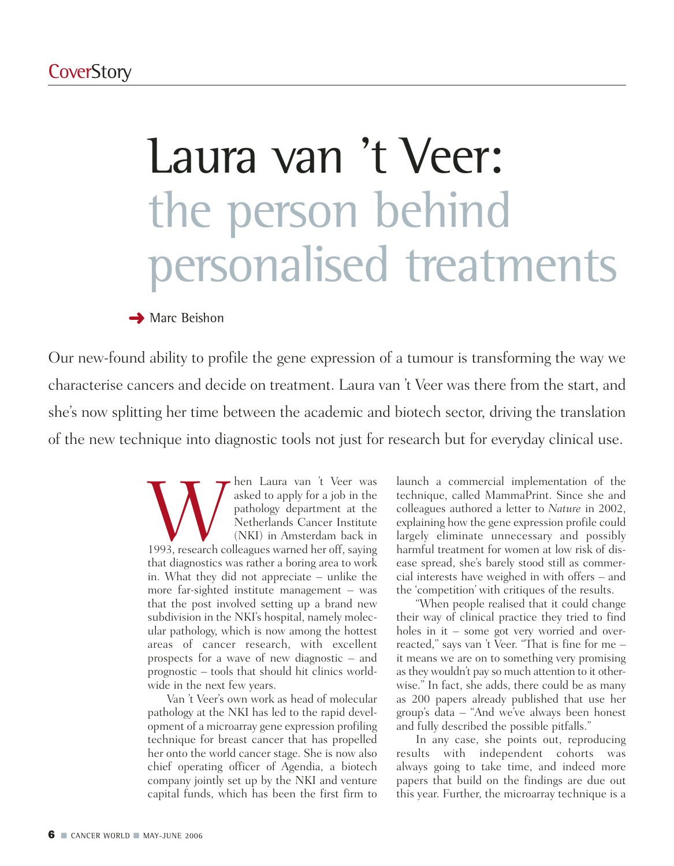# Laura van 't Veer: the person behind personalised treatments

#### **→ Marc Beishon**

Our new-found ability to profile the gene expression of a tumour is transforming the way we characterise cancers and decide on treatment. Laura van 't Veer was there from the start, and she's now splitting her time between the academic and biotech sector, driving the translation of the new technique into diagnostic tools not just for research but for everyday clinical use.

> Wasked to apply for a job in the pathology department at the pathology department at the Netherlands Cancer Institute (NKI) in Amsterdam back in 1993, research colleagues warned her off, saying asked to apply for a job in the pathology department at the Netherlands Cancer Institute (NKI) in Amsterdam back in that diagnostics was rather a boring area to work in. What they did not appreciate – unlike the more far-sighted institute management – was that the post involved setting up a brand new subdivision in the NKI's hospital, namely molecular pathology, which is now among the hottest areas of cancer research, with excellent prospects for a wave of new diagnostic – and prognostic – tools that should hit clinics worldwide in the next few years.

Van 't Veer's own work as head of molecular pathology at the NKI has led to the rapid development of a microarray gene expression profiling technique for breast cancer that has propelled her onto the world cancer stage. She is now also chief operating officer of Agendia, a biotech company jointly set up by the NKI and venture capital funds, which has been the first firm to launch a commercial implementation of the technique, called MammaPrint. Since she and colleagues authored a letter to *Nature* in 2002, explaining how the gene expression profile could largely eliminate unnecessary and possibly harmful treatment for women at low risk of disease spread, she's barely stood still as commercial interests have weighed in with offers – and the 'competition' with critiques of the results.

"When people realised that it could change their way of clinical practice they tried to find holes in it – some got very worried and overreacted," says van 't Veer. "That is fine for me – it means we are on to something very promising as they wouldn't pay so much attention to it otherwise." In fact, she adds, there could be as many as 200 papers already published that use her group's data – "And we've always been honest and fully described the possible pitfalls."

In any case, she points out, reproducing results with independent cohorts was always going to take time, and indeed more papers that build on the findings are due out this year. Further, the microarray technique is a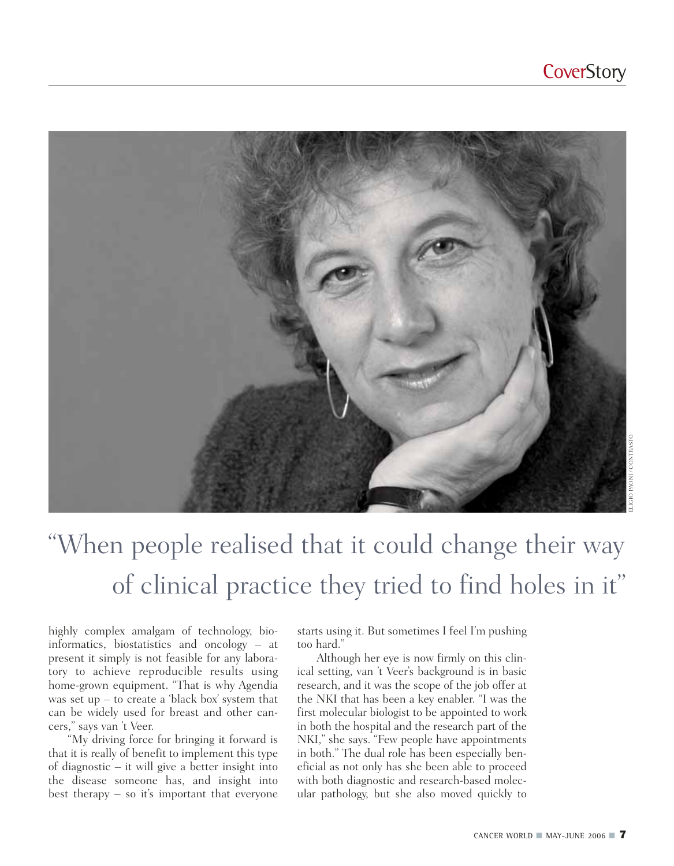

## "When people realised that it could change their way of clinical practice they tried to find holes in it"

highly complex amalgam of technology, bioinformatics, biostatistics and oncology – at present it simply is not feasible for any laboratory to achieve reproducible results using home-grown equipment. "That is why Agendia was set up – to create a 'black box' system that can be widely used for breast and other cancers," says van 't Veer.

"My driving force for bringing it forward is that it is really of benefit to implement this type of diagnostic – it will give a better insight into the disease someone has, and insight into best therapy  $-$  so it's important that everyone starts using it. But sometimes I feel I'm pushing too hard."

Although her eye is now firmly on this clinical setting, van 't Veer's background is in basic research, and it was the scope of the job offer at the NKI that has been a key enabler. "I was the first molecular biologist to be appointed to work in both the hospital and the research part of the NKI," she says. "Few people have appointments in both." The dual role has been especially beneficial as not only has she been able to proceed with both diagnostic and research-based molecular pathology, but she also moved quickly to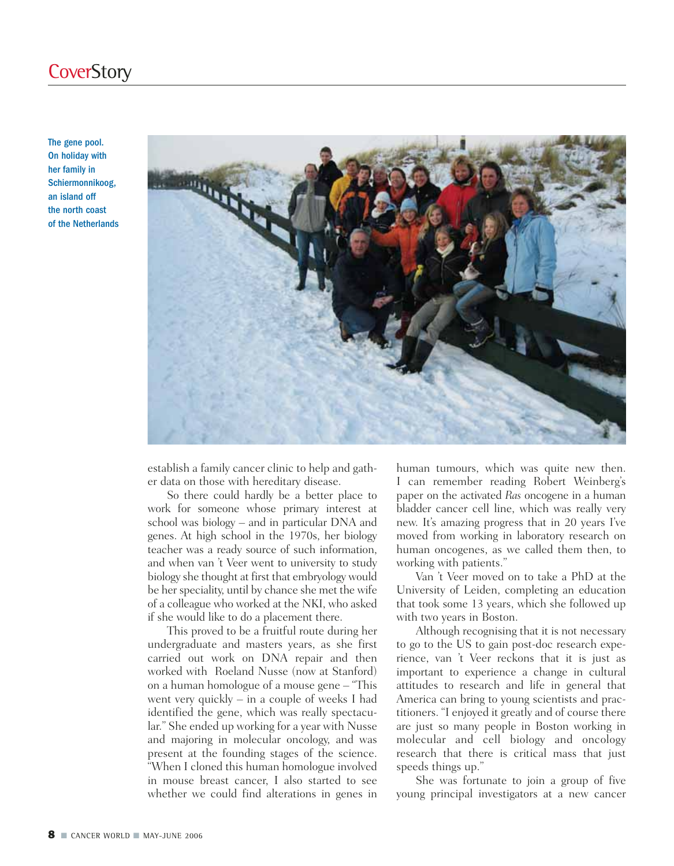The gene pool. On holiday with her family in Schiermonnikoog, an island off the north coast of the Netherlands



establish a family cancer clinic to help and gather data on those with hereditary disease.

So there could hardly be a better place to work for someone whose primary interest at school was biology – and in particular DNA and genes. At high school in the 1970s, her biology teacher was a ready source of such information, and when van 't Veer went to university to study biology she thought at first that embryology would be her speciality, until by chance she met the wife of a colleague who worked at the NKI, who asked if she would like to do a placement there.

This proved to be a fruitful route during her undergraduate and masters years, as she first carried out work on DNA repair and then worked with Roeland Nusse (now at Stanford) on a human homologue of a mouse gene – "This went very quickly – in a couple of weeks I had identified the gene, which was really spectacular." She ended up working for a year with Nusse and majoring in molecular oncology, and was present at the founding stages of the science. "When I cloned this human homologue involved in mouse breast cancer, I also started to see whether we could find alterations in genes in

human tumours, which was quite new then. I can remember reading Robert Weinberg's paper on the activated *Ras* oncogene in a human bladder cancer cell line, which was really very new. It's amazing progress that in 20 years I've moved from working in laboratory research on human oncogenes, as we called them then, to working with patients."

Van 't Veer moved on to take a PhD at the University of Leiden, completing an education that took some 13 years, which she followed up with two years in Boston.

Although recognising that it is not necessary to go to the US to gain post-doc research experience, van 't Veer reckons that it is just as important to experience a change in cultural attitudes to research and life in general that America can bring to young scientists and practitioners. "I enjoyed it greatly and of course there are just so many people in Boston working in molecular and cell biology and oncology research that there is critical mass that just speeds things up."

She was fortunate to join a group of five young principal investigators at a new cancer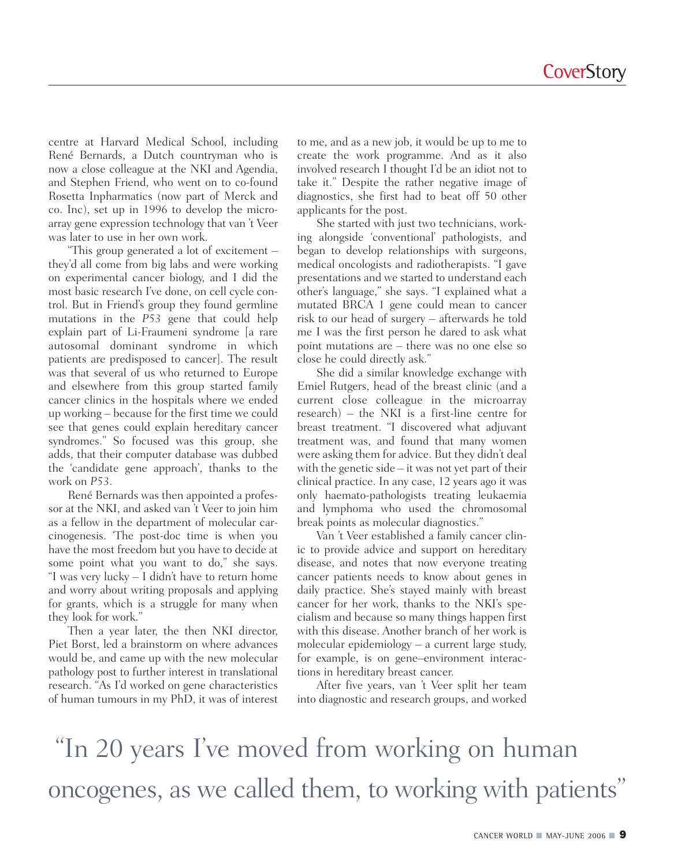centre at Harvard Medical School, including René Bernards, a Dutch countryman who is now a close colleague at the NKI and Agendia, and Stephen Friend, who went on to co-found Rosetta Inpharmatics (now part of Merck and co. Inc), set up in 1996 to develop the microarray gene expression technology that van 't Veer was later to use in her own work.

"This group generated a lot of excitement – they'd all come from big labs and were working on experimental cancer biology, and I did the most basic research I've done, on cell cycle control. But in Friend's group they found germline mutations in the *P53* gene that could help explain part of Li-Fraumeni syndrome [a rare autosomal dominant syndrome in which patients are predisposed to cancer]. The result was that several of us who returned to Europe and elsewhere from this group started family cancer clinics in the hospitals where we ended up working – because for the first time we could see that genes could explain hereditary cancer syndromes." So focused was this group, she adds, that their computer database was dubbed the 'candidate gene approach', thanks to the work on *P53*.

René Bernards was then appointed a professor at the NKI, and asked van 't Veer to join him as a fellow in the department of molecular carcinogenesis. 'The post-doc time is when you have the most freedom but you have to decide at some point what you want to do," she says. "I was very lucky – I didn't have to return home and worry about writing proposals and applying for grants, which is a struggle for many when they look for work."

Then a year later, the then NKI director, Piet Borst, led a brainstorm on where advances would be, and came up with the new molecular pathology post to further interest in translational research. "As I'd worked on gene characteristics of human tumours in my PhD, it was of interest to me, and as a new job, it would be up to me to create the work programme. And as it also involved research I thought I'd be an idiot not to take it." Despite the rather negative image of diagnostics, she first had to beat off 50 other applicants for the post.

She started with just two technicians, working alongside 'conventional' pathologists, and began to develop relationships with surgeons, medical oncologists and radiotherapists. "I gave presentations and we started to understand each other's language," she says. "I explained what a mutated BRCA 1 gene could mean to cancer risk to our head of surgery – afterwards he told me I was the first person he dared to ask what point mutations are – there was no one else so close he could directly ask."

She did a similar knowledge exchange with Emiel Rutgers, head of the breast clinic (and a current close colleague in the microarray research) – the NKI is a first-line centre for breast treatment. "I discovered what adjuvant treatment was, and found that many women were asking them for advice. But they didn't deal with the genetic side – it was not yet part of their clinical practice. In any case, 12 years ago it was only haemato-pathologists treating leukaemia and lymphoma who used the chromosomal break points as molecular diagnostics."

Van 't Veer established a family cancer clinic to provide advice and support on hereditary disease, and notes that now everyone treating cancer patients needs to know about genes in daily practice. She's stayed mainly with breast cancer for her work, thanks to the NKI's specialism and because so many things happen first with this disease. Another branch of her work is molecular epidemiology – a current large study, for example, is on gene–environment interactions in hereditary breast cancer.

After five years, van 't Veer split her team into diagnostic and research groups, and worked

"In 20 years I've moved from working on human oncogenes, as we called them, to working with patients"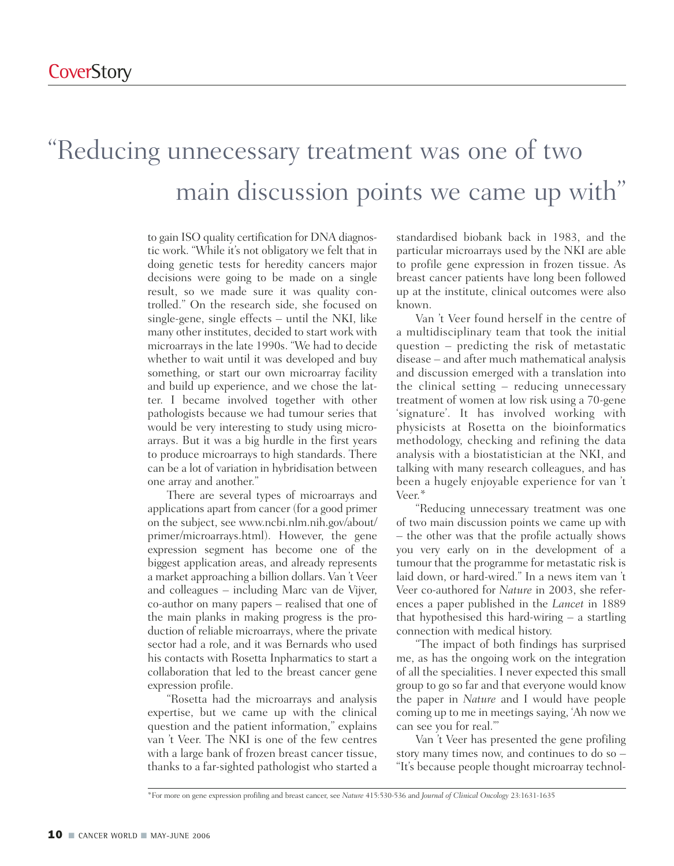#### "Reducing unnecessary treatment was one of two main discussion points we came up with"

to gain ISO quality certification for DNA diagnostic work. "While it's not obligatory we felt that in doing genetic tests for heredity cancers major decisions were going to be made on a single result, so we made sure it was quality controlled." On the research side, she focused on single-gene, single effects – until the NKI, like many other institutes, decided to start work with microarrays in the late 1990s. "We had to decide whether to wait until it was developed and buy something, or start our own microarray facility and build up experience, and we chose the latter. I became involved together with other pathologists because we had tumour series that would be very interesting to study using microarrays. But it was a big hurdle in the first years to produce microarrays to high standards. There can be a lot of variation in hybridisation between one array and another."

There are several types of microarrays and applications apart from cancer (for a good primer on the subject, see www.ncbi.nlm.nih.gov/about/ primer/microarrays.html). However, the gene expression segment has become one of the biggest application areas, and already represents a market approaching a billion dollars. Van 't Veer and colleagues – including Marc van de Vijver, co-author on many papers – realised that one of the main planks in making progress is the production of reliable microarrays, where the private sector had a role, and it was Bernards who used his contacts with Rosetta Inpharmatics to start a collaboration that led to the breast cancer gene expression profile.

"Rosetta had the microarrays and analysis expertise, but we came up with the clinical question and the patient information," explains van 't Veer. The NKI is one of the few centres with a large bank of frozen breast cancer tissue, thanks to a far-sighted pathologist who started a

standardised biobank back in 1983, and the particular microarrays used by the NKI are able to profile gene expression in frozen tissue. As breast cancer patients have long been followed up at the institute, clinical outcomes were also known.

Van 't Veer found herself in the centre of a multidisciplinary team that took the initial question – predicting the risk of metastatic disease – and after much mathematical analysis and discussion emerged with a translation into the clinical setting – reducing unnecessary treatment of women at low risk using a 70-gene 'signature'. It has involved working with physicists at Rosetta on the bioinformatics methodology, checking and refining the data analysis with a biostatistician at the NKI, and talking with many research colleagues, and has been a hugely enjoyable experience for van 't Veer.\*

"Reducing unnecessary treatment was one of two main discussion points we came up with – the other was that the profile actually shows you very early on in the development of a tumour that the programme for metastatic risk is laid down, or hard-wired." In a news item van 't Veer co-authored for *Nature* in 2003, she references a paper published in the *Lancet* in 1889 that hypothesised this hard-wiring – a startling connection with medical history.

"The impact of both findings has surprised me, as has the ongoing work on the integration of all the specialities. I never expected this small group to go so far and that everyone would know the paper in *Nature* and I would have people coming up to me in meetings saying, 'Ah now we can see you for real.'"

Van 't Veer has presented the gene profiling story many times now, and continues to do so – "It's because people thought microarray technol-

<sup>\*</sup>For more on gene expression profiling and breast cancer, see *Nature* 415:530-536 and *Journal of Clinical Oncology* 23:1631-1635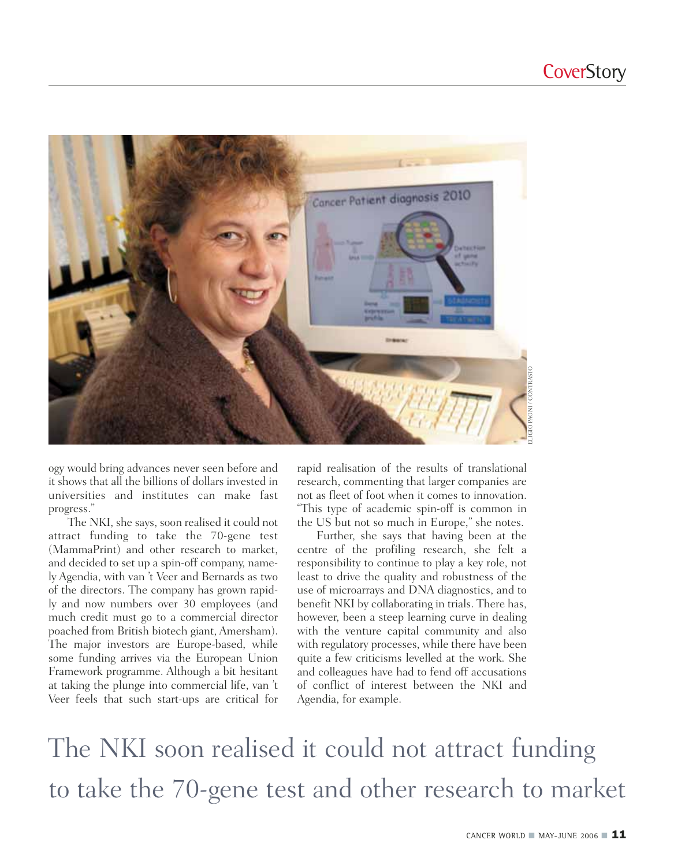

ogy would bring advances never seen before and it shows that all the billions of dollars invested in universities and institutes can make fast progress."

The NKI, she says, soon realised it could not attract funding to take the 70-gene test (MammaPrint) and other research to market, and decided to set up a spin-off company, namely Agendia, with van 't Veer and Bernards as two of the directors. The company has grown rapidly and now numbers over 30 employees (and much credit must go to a commercial director poached from British biotech giant, Amersham). The major investors are Europe-based, while some funding arrives via the European Union Framework programme. Although a bit hesitant at taking the plunge into commercial life, van 't Veer feels that such start-ups are critical for rapid realisation of the results of translational research, commenting that larger companies are not as fleet of foot when it comes to innovation. "This type of academic spin-off is common in the US but not so much in Europe," she notes.

Further, she says that having been at the centre of the profiling research, she felt a responsibility to continue to play a key role, not least to drive the quality and robustness of the use of microarrays and DNA diagnostics, and to benefit NKI by collaborating in trials. There has, however, been a steep learning curve in dealing with the venture capital community and also with regulatory processes, while there have been quite a few criticisms levelled at the work. She and colleagues have had to fend off accusations of conflict of interest between the NKI and Agendia, for example.

The NKI soon realised it could not attract funding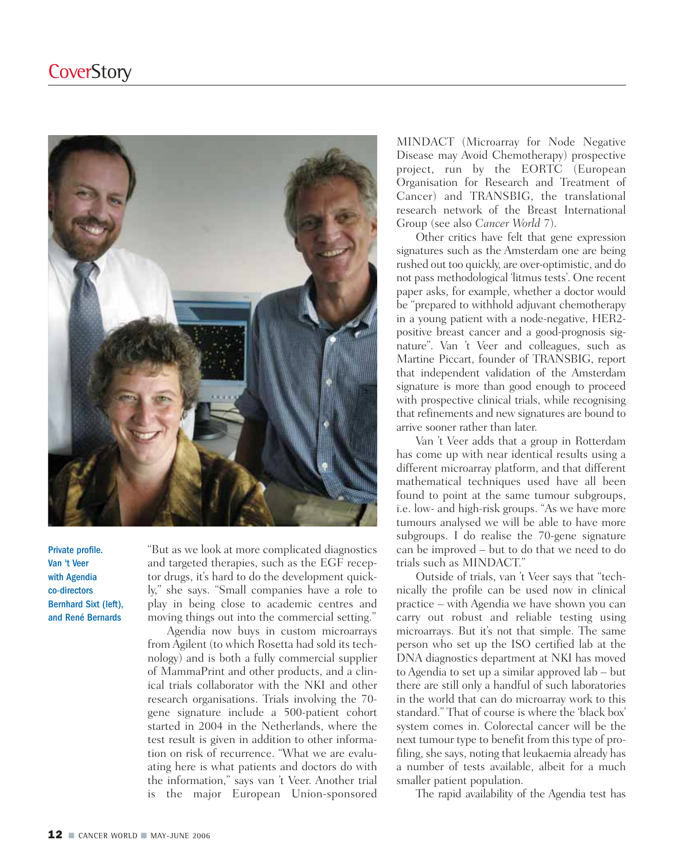

Private profile. Van 't Veer with Agendia co-directors Bernhard Sixt (left), and René Bernards

"But as we look at more complicated diagnostics and targeted therapies, such as the EGF receptor drugs, it's hard to do the development quickly," she says. "Small companies have a role to play in being close to academic centres and moving things out into the commercial setting."

Agendia now buys in custom microarrays from Agilent (to which Rosetta had sold its technology) and is both a fully commercial supplier of MammaPrint and other products, and a clinical trials collaborator with the NKI and other research organisations. Trials involving the 70 gene signature include a 500-patient cohort started in 2004 in the Netherlands, where the test result is given in addition to other information on risk of recurrence. "What we are evaluating here is what patients and doctors do with the information," says van 't Veer. Another trial is the major European Union-sponsored

MINDACT (Microarray for Node Negative Disease may Avoid Chemotherapy) prospective project, run by the EORTC (European Organisation for Research and Treatment of Cancer) and TRANSBIG, the translational research network of the Breast International Group (see also *Cancer World* 7).

Other critics have felt that gene expression signatures such as the Amsterdam one are being rushed out too quickly, are over-optimistic, and do not pass methodological 'litmus tests'. One recent paper asks, for example, whether a doctor would be "prepared to withhold adjuvant chemotherapy in a young patient with a node-negative, HER2 positive breast cancer and a good-prognosis signature". Van 't Veer and colleagues, such as Martine Piccart, founder of TRANSBIG, report that independent validation of the Amsterdam signature is more than good enough to proceed with prospective clinical trials, while recognising that refinements and new signatures are bound to arrive sooner rather than later.

Van 't Veer adds that a group in Rotterdam has come up with near identical results using a different microarray platform, and that different mathematical techniques used have all been found to point at the same tumour subgroups, i.e. low- and high-risk groups. "As we have more tumours analysed we will be able to have more subgroups. I do realise the 70-gene signature can be improved – but to do that we need to do trials such as MINDACT."

Outside of trials, van 't Veer says that "technically the profile can be used now in clinical practice – with Agendia we have shown you can carry out robust and reliable testing using microarrays. But it's not that simple. The same person who set up the ISO certified lab at the DNA diagnostics department at NKI has moved to Agendia to set up a similar approved lab – but there are still only a handful of such laboratories in the world that can do microarray work to this standard." That of course is where the 'black box' system comes in. Colorectal cancer will be the next tumour type to benefit from this type of profiling, she says, noting that leukaemia already has a number of tests available, albeit for a much smaller patient population.

The rapid availability of the Agendia test has